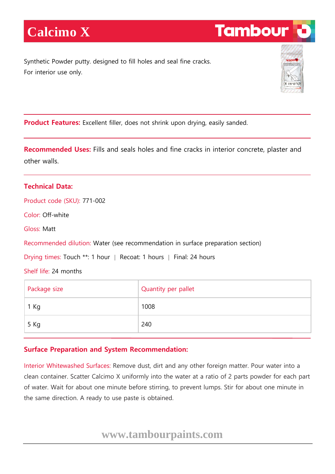Synthetic Powder putty. designed to fill holes and seal fine cracks. For interior use only.



**Tambour** 

**Product Features:** Excellent filler, does not shrink upon drying, easily sanded.

**Recommended Uses:** Fills and seals holes and fine cracks in interior concrete, plaster and other walls.

## **Technical Data:**

Product code (SKU): 771-002

Color: Off-white

Gloss: Matt

Recommended dilution: Water (see recommendation in surface preparation section)

Drying times: Touch \*\*: 1 hour | Recoat: 1 hours | Final: 24 hours

Shelf life: 24 months

| Package size | Quantity per pallet |
|--------------|---------------------|
| 1 Kg         | 1008                |
| 5 Kg         | 240                 |

## **Surface Preparation and System Recommendation:**

Interior Whitewashed Surfaces: Remove dust, dirt and any other foreign matter. Pour water into a clean container. Scatter Calcimo X uniformly into the water at a ratio of 2 parts powder for each part of water. Wait for about one minute before stirring, to prevent lumps. Stir for about one minute in the same direction. A ready to use paste is obtained.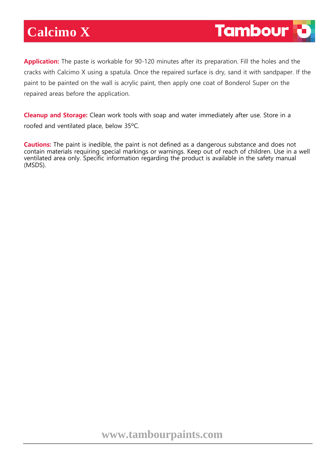## **Calcimo X**

**Application:** The paste is workable for 90-120 minutes after its preparation. Fill the holes and the cracks with Calcimo X using a spatula. Once the repaired surface is dry, sand it with sandpaper. If the paint to be painted on the wall is acrylic paint, then apply one coat of Bonderol Super on the repaired areas before the application.

**Cleanup and Storage:** Clean work tools with soap and water immediately after use. Store in a roofed and ventilated place, below 35ºC.

**Cautions:** The paint is inedible, the paint is not defined as a dangerous substance and does not contain materials requiring special markings or warnings. Keep out of reach of children. Use in a well ventilated area only. Specific information regarding the product is available in the safety manual (MSDS).